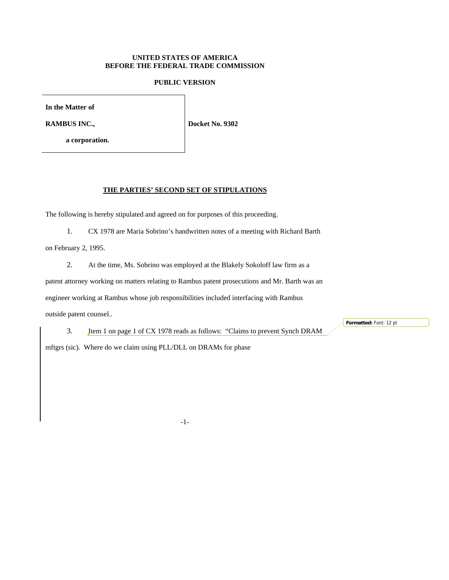## **UNITED STATES OF AMERICA BEFORE THE FEDERAL TRADE COMMISSION**

## **PUBLIC VERSION**

**In the Matter of**

**RAMBUS INC.,**

**a corporation.**

**Docket No. 9302**

#### **THE PARTIES' SECOND SET OF STIPULATIONS**

The following is hereby stipulated and agreed on for purposes of this proceeding.

1. CX 1978 are Maria Sobrino's handwritten notes of a meeting with Richard Barth

on February 2, 1995.

2. At the time, Ms. Sobrino was employed at the Blakely Sokoloff law firm as a patent attorney working on matters relating to Rambus patent prosecutions and Mr. Barth was an engineer working at Rambus whose job responsibilities included interfacing with Rambus outside patent counsel..

3. Item 1 on page 1 of CX 1978 reads as follows: "Claims to prevent Synch DRAM

**Formatted:** Font: 12 pt

mftgrs (sic). Where do we claim using PLL/DLL on DRAMs for phase

-1-